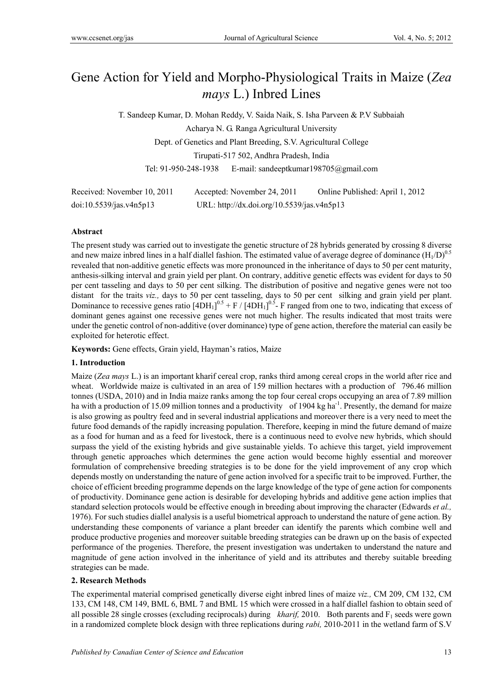# Gene Action for Yield and Morpho-Physiological Traits in Maize (*Zea mays* L.) Inbred Lines

T. Sandeep Kumar, D. Mohan Reddy, V. Saida Naik, S. Isha Parveen & P.V Subbaiah Acharya N. G. Ranga Agricultural University Dept. of Genetics and Plant Breeding, S.V. Agricultural College Tirupati-517 502, Andhra Pradesh, India Tel: 91-950-248-1938 E-mail: sandeeptkumar198705@gmail.com

| Received: November 10, 2011 | Accepted: November 24, 2011                | Online Published: April 1, 2012 |
|-----------------------------|--------------------------------------------|---------------------------------|
| doi:10.5539/jas.v4n5p13     | URL: http://dx.doi.org/10.5539/jas.v4n5p13 |                                 |

## **Abstract**

The present study was carried out to investigate the genetic structure of 28 hybrids generated by crossing 8 diverse and new maize inbred lines in a half diallel fashion. The estimated value of average degree of dominance  $(H_1/D)^{0.5}$ revealed that non-additive genetic effects was more pronounced in the inheritance of days to 50 per cent maturity, anthesis-silking interval and grain yield per plant. On contrary, additive genetic effects was evident for days to 50 per cent tasseling and days to 50 per cent silking. The distribution of positive and negative genes were not too distant for the traits *viz.,* days to 50 per cent tasseling, days to 50 per cent silking and grain yield per plant. Dominance to recessive genes ratio  $[4DH_1]^{0.5} + F/[4DH_1]^{0.5}$  F ranged from one to two, indicating that excess of dominant genes against one recessive genes were not much higher. The results indicated that most traits were under the genetic control of non-additive (over dominance) type of gene action, therefore the material can easily be exploited for heterotic effect.

**Keywords:** Gene effects, Grain yield, Hayman's ratios, Maize

## **1. Introduction**

Maize (*Zea mays* L.) is an important kharif cereal crop, ranks third among cereal crops in the world after rice and wheat. Worldwide maize is cultivated in an area of 159 million hectares with a production of 796.46 million tonnes (USDA, 2010) and in India maize ranks among the top four cereal crops occupying an area of 7.89 million ha with a production of 15.09 million tonnes and a productivity of 1904 kg ha<sup>-1</sup>. Presently, the demand for maize is also growing as poultry feed and in several industrial applications and moreover there is a very need to meet the future food demands of the rapidly increasing population. Therefore, keeping in mind the future demand of maize as a food for human and as a feed for livestock, there is a continuous need to evolve new hybrids, which should surpass the yield of the existing hybrids and give sustainable yields. To achieve this target, yield improvement through genetic approaches which determines the gene action would become highly essential and moreover formulation of comprehensive breeding strategies is to be done for the yield improvement of any crop which depends mostly on understanding the nature of gene action involved for a specific trait to be improved. Further, the choice of efficient breeding programme depends on the large knowledge of the type of gene action for components of productivity. Dominance gene action is desirable for developing hybrids and additive gene action implies that standard selection protocols would be effective enough in breeding about improving the character (Edwards *et al.,* 1976). For such studies diallel analysis is a useful biometrical approach to understand the nature of gene action. By understanding these components of variance a plant breeder can identify the parents which combine well and produce productive progenies and moreover suitable breeding strategies can be drawn up on the basis of expected performance of the progenies. Therefore, the present investigation was undertaken to understand the nature and magnitude of gene action involved in the inheritance of yield and its attributes and thereby suitable breeding strategies can be made.

## **2. Research Methods**

The experimental material comprised genetically diverse eight inbred lines of maize *viz.,* CM 209, CM 132, CM 133, CM 148, CM 149, BML 6, BML 7 and BML 15 which were crossed in a half diallel fashion to obtain seed of all possible 28 single crosses (excluding reciprocals) during *kharif*, 2010. Both parents and F<sub>1</sub> seeds were gown in a randomized complete block design with three replications during *rabi,* 2010-2011 in the wetland farm of S.V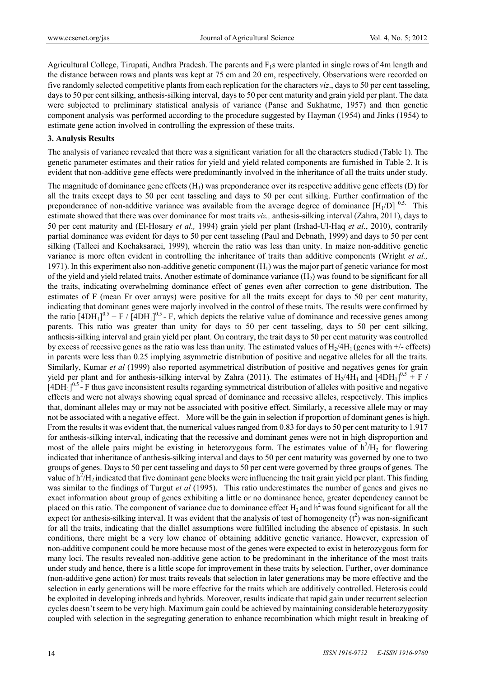Agricultural College, Tirupati, Andhra Pradesh. The parents and  $F_1s$  were planted in single rows of 4m length and the distance between rows and plants was kept at 75 cm and 20 cm, respectively. Observations were recorded on five randomly selected competitive plants from each replication for the characters *viz*., days to 50 per cent tasseling, days to 50 per cent silking, anthesis-silking interval, days to 50 per cent maturity and grain yield per plant. The data were subjected to preliminary statistical analysis of variance (Panse and Sukhatme, 1957) and then genetic component analysis was performed according to the procedure suggested by Hayman (1954) and Jinks (1954) to estimate gene action involved in controlling the expression of these traits.

#### **3. Analysis Results**

The analysis of variance revealed that there was a significant variation for all the characters studied (Table 1). The genetic parameter estimates and their ratios for yield and yield related components are furnished in Table 2. It is evident that non-additive gene effects were predominantly involved in the inheritance of all the traits under study.

The magnitude of dominance gene effects  $(H<sub>1</sub>)$  was preponderance over its respective additive gene effects  $(D)$  for all the traits except days to 50 per cent tasseling and days to 50 per cent silking. Further confirmation of the preponderance of non-additive variance was available from the average degree of dominance  $[H_1/D]$ <sup>0.5.</sup> This estimate showed that there was over dominance for most traits *viz.,* anthesis-silking interval (Zahra, 2011), days to 50 per cent maturity and (El-Hosary *et al.,* 1994) grain yield per plant (Irshad-Ul-Haq *et al*., 2010), contrarily partial dominance was evident for days to 50 per cent tasseling (Paul and Debnath, 1999) and days to 50 per cent silking (Talleei and Kochaksaraei, 1999), wherein the ratio was less than unity. In maize non-additive genetic variance is more often evident in controlling the inheritance of traits than additive components (Wright *et al.,* 1971). In this experiment also non-additive genetic component  $(H<sub>1</sub>)$  was the major part of genetic variance for most of the yield and yield related traits. Another estimate of dominance variance  $(H<sub>2</sub>)$  was found to be significant for all the traits, indicating overwhelming dominance effect of genes even after correction to gene distribution. The estimates of F (mean Fr over arrays) were positive for all the traits except for days to 50 per cent maturity, indicating that dominant genes were majorly involved in the control of these traits. The results were confirmed by the ratio  $[4DH_1]^{0.5}$  + F /  $[4DH_1]^{0.5}$  - F, which depicts the relative value of dominance and recessive genes among parents. This ratio was greater than unity for days to 50 per cent tasseling, days to 50 per cent silking, anthesis-silking interval and grain yield per plant. On contrary, the trait days to 50 per cent maturity was controlled by excess of recessive genes as the ratio was less than unity. The estimated values of  $H_2/H_1$  (genes with  $+/-$  effects) in parents were less than 0.25 implying asymmetric distribution of positive and negative alleles for all the traits. Similarly, Kumar *et al* (1999) also reported asymmetrical distribution of positive and negatives genes for grain yield per plant and for anthesis-silking interval by Zahra (2011). The estimates of  $H_2/4H_1$  and  $[4DH_1]^{0.5}$  + F  $/$  $[4DH_1]^{0.5}$  - F thus gave inconsistent results regarding symmetrical distribution of alleles with positive and negative effects and were not always showing equal spread of dominance and recessive alleles, respectively. This implies that, dominant alleles may or may not be associated with positive effect. Similarly, a recessive allele may or may not be associated with a negative effect. More will be the gain in selection if proportion of dominant genes is high. From the results it was evident that, the numerical values ranged from 0.83 for days to 50 per cent maturity to 1.917 for anthesis-silking interval, indicating that the recessive and dominant genes were not in high disproportion and most of the allele pairs might be existing in heterozygous form. The estimates value of  $h^2/H_2$  for flowering indicated that inheritance of anthesis-silking interval and days to 50 per cent maturity was governed by one to two groups of genes. Days to 50 per cent tasseling and days to 50 per cent were governed by three groups of genes. The value of  $h^2/H_2$  indicated that five dominant gene blocks were influencing the trait grain yield per plant. This finding was similar to the findings of Turgut *et al* (1995). This ratio underestimates the number of genes and gives no exact information about group of genes exhibiting a little or no dominance hence, greater dependency cannot be placed on this ratio. The component of variance due to dominance effect  $H_2$  and  $h^2$  was found significant for all the expect for anthesis-silking interval. It was evident that the analysis of test of homogeneity  $(t^2)$  was non-significant for all the traits, indicating that the diallel assumptions were fulfilled including the absence of epistasis. In such conditions, there might be a very low chance of obtaining additive genetic variance. However, expression of non-additive component could be more because most of the genes were expected to exist in heterozygous form for many loci. The results revealed non-additive gene action to be predominant in the inheritance of the most traits under study and hence, there is a little scope for improvement in these traits by selection. Further, over dominance (non-additive gene action) for most traits reveals that selection in later generations may be more effective and the selection in early generations will be more effective for the traits which are additively controlled. Heterosis could be exploited in developing inbreds and hybrids. Moreover, results indicate that rapid gain under recurrent selection cycles doesn't seem to be very high. Maximum gain could be achieved by maintaining considerable heterozygosity coupled with selection in the segregating generation to enhance recombination which might result in breaking of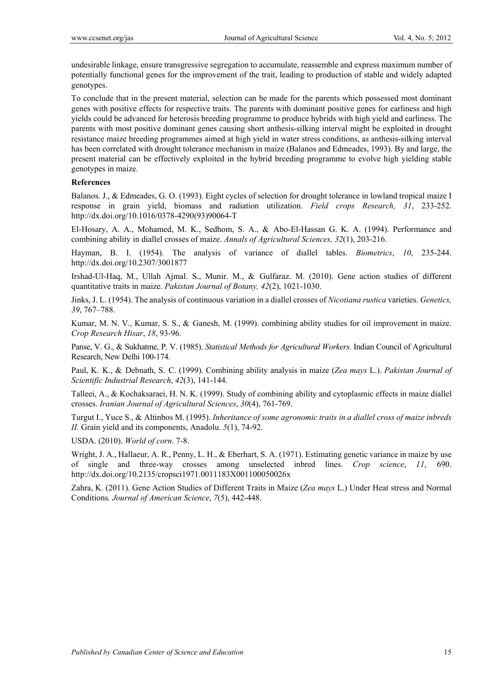undesirable linkage, ensure transgressive segregation to accumulate, reassemble and express maximum number of potentially functional genes for the improvement of the trait, leading to production of stable and widely adapted genotypes.

To conclude that in the present material, selection can be made for the parents which possessed most dominant genes with positive effects for respective traits. The parents with dominant positive genes for earliness and high yields could be advanced for heterosis breeding programme to produce hybrids with high yield and earliness. The parents with most positive dominant genes causing short anthesis-silking interval might be exploited in drought resistance maize breeding programmes aimed at high yield in water stress conditions, as anthesis-silking interval has been correlated with drought tolerance mechanism in maize (Balanos and Edmeades, 1993). By and large, the present material can be effectively exploited in the hybrid breeding programme to evolve high yielding stable genotypes in maize.

#### **References**

Balanos. J., & Edmeades, G. O. (1993). Eight cycles of selection for drought tolerance in lowland tropical maize I response in grain yield, biomass and radiation utilization. *Field crops Research, 31*, 233-252. http://dx.doi.org/10.1016/0378-4290(93)90064-T

El-Hosary, A. A., Mohamed, M. K., Sedhom, S. A., & Abo-El-Hassan G. K. A. (1994). Performance and combining ability in diallel crosses of maize. *Annals of Agricultural Sciences, 32*(1), 203-216.

Hayman, B. I. (1954). The analysis of variance of diallel tables. *Biometrics*, *10*, 235-244. http://dx.doi.org/10.2307/3001877

Irshad-Ul-Haq, M., Ullah Ajmal. S., Munir. M., & Gulfaraz. M. (2010). Gene action studies of different quantitative traits in maize. *Pakistan Journal of Botany, 42*(2), 1021-1030.

Jinks, J. L. (1954). The analysis of continuous variation in a diallel crosses of *Nicotiana rustica* varieties. *Genetics, 39*, 767–788.

Kumar, M. N. V., Kumar, S. S., & Ganesh, M. (1999). combining ability studies for oil improvement in maize. *Crop Research Hisar*, *18*, 93-96.

Panse, V. G., & Sukhatme, P. V. (1985). *Statistical Methods for Agricultural Workers.* Indian Council of Agricultural Research, New Delhi 100-174.

Paul, K. K., & Debnath, S. C. (1999). Combining ability analysis in maize (*Zea mays* L.). *Pakistan Journal of Scientific Industrial Research*, *42*(3), 141-144.

Talleei, A., & Kochaksaraei, H. N. K. (1999). Study of combining ability and cytoplasmic effects in maize diallel crosses. *Iranian Journal of Agricultural Sciences*, *30*(4), 761-769.

Turgut I., Yuce S., & Altinbos M. (1995). *Inheritance of some agronomic traits in a diallel cross of maize inbreds II.* Grain yield and its components, Anadolu. *5*(1), 74-92.

USDA. (2010). *World of corn*. 7-8.

Wright, J. A., Hallaeur, A. R., Penny, L. H., & Eberhart, S. A. (1971). Estimating genetic variance in maize by use of single and three-way crosses among unselected inbred lines. *Crop science*, *11*, 690. http://dx.doi.org/10.2135/cropsci1971.0011183X001100050026x

Zahra, K. (2011). Gene Action Studies of Different Traits in Maize (*Zea mays* L.) Under Heat stress and Normal Conditions*. Journal of American Science*, *7*(5), 442-448.